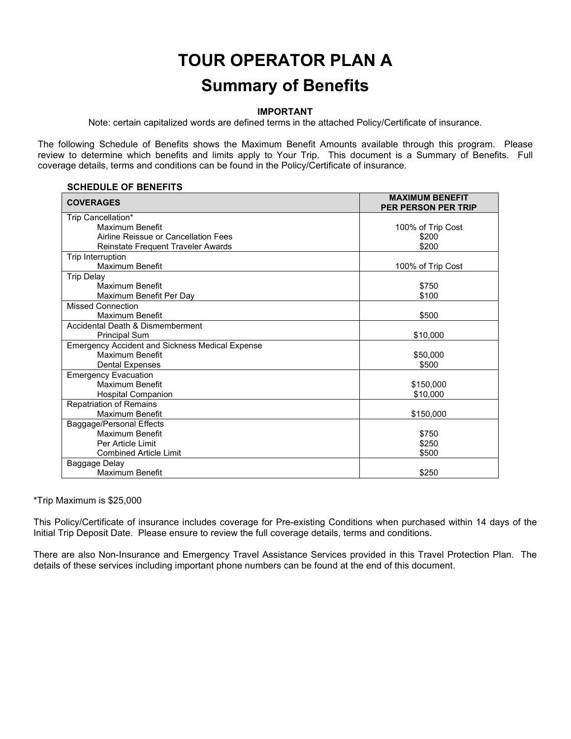# **TOUR OPERATOR PLAN A Summary of Benefits**

#### **IMPORTANT**

Note: certain capitalized words are defined terms in the attached Policy/Certificate of insurance.

The following Schedule of Benefits shows the Maximum Benefit Amounts available through this program. Please review to determine which benefits and limits apply to Your Trip. This document is a Summary of Benefits. Full coverage details, terms and conditions can be found in the Policy/Certificate of insurance.

#### **SCHEDULE OF BENEFITS**

| <b>COVERAGES</b>                                       | <b>MAXIMUM BENEFIT</b><br><b>PER PERSON PER TRIP</b> |
|--------------------------------------------------------|------------------------------------------------------|
| Trip Cancellation*                                     |                                                      |
| Maximum Benefit                                        | 100% of Trip Cost                                    |
| Airline Reissue or Cancellation Fees                   | \$200                                                |
| Reinstate Frequent Traveler Awards                     | \$200                                                |
| Trip Interruption                                      |                                                      |
| Maximum Benefit                                        | 100% of Trip Cost                                    |
| <b>Trip Delay</b>                                      |                                                      |
| Maximum Benefit                                        | \$750                                                |
| Maximum Benefit Per Day                                | \$100                                                |
| <b>Missed Connection</b>                               |                                                      |
| Maximum Benefit                                        | \$500                                                |
| Accidental Death & Dismemberment                       |                                                      |
| <b>Principal Sum</b>                                   | \$10,000                                             |
| <b>Emergency Accident and Sickness Medical Expense</b> |                                                      |
| Maximum Benefit                                        | \$50,000                                             |
| <b>Dental Expenses</b>                                 | \$500                                                |
| <b>Emergency Evacuation</b>                            |                                                      |
| Maximum Benefit                                        | \$150,000                                            |
| Hospital Companion                                     | \$10,000                                             |
| <b>Repatriation of Remains</b>                         |                                                      |
| Maximum Benefit                                        | \$150,000                                            |
| Baggage/Personal Effects                               |                                                      |
| Maximum Benefit                                        | \$750                                                |
| Per Article Limit                                      | \$250                                                |
| <b>Combined Article Limit</b>                          | \$500                                                |
| Baggage Delay                                          |                                                      |
| <b>Maximum Benefit</b>                                 | \$250                                                |

#### \*Trip Maximum is \$25,000

This Policy/Certificate of insurance includes coverage for Pre-existing Conditions when purchased within 14 days of the Initial Trip Deposit Date. Please ensure to review the full coverage details, terms and conditions.

There are also Non-Insurance and Emergency Travel Assistance Services provided in this Travel Protection Plan. The details of these services including important phone numbers can be found at the end of this document.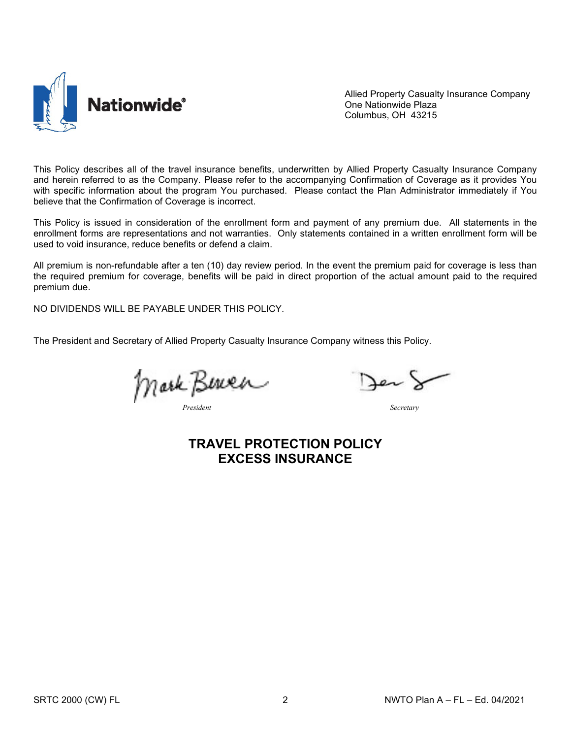

Allied Property Casualty Insurance Company One Nationwide Plaza Columbus, OH 43215

This Policy describes all of the travel insurance benefits, underwritten by Allied Property Casualty Insurance Company and herein referred to as the Company. Please refer to the accompanying Confirmation of Coverage as it provides You with specific information about the program You purchased. Please contact the Plan Administrator immediately if You believe that the Confirmation of Coverage is incorrect.

This Policy is issued in consideration of the enrollment form and payment of any premium due. All statements in the enrollment forms are representations and not warranties. Only statements contained in a written enrollment form will be used to void insurance, reduce benefits or defend a claim.

All premium is non-refundable after a ten (10) day review period. In the event the premium paid for coverage is less than the required premium for coverage, benefits will be paid in direct proportion of the actual amount paid to the required premium due.

NO DIVIDENDS WILL BE PAYABLE UNDER THIS POLICY.

The President and Secretary of Allied Property Casualty Insurance Company witness this Policy.

Mark Bereck

# **TRAVEL PROTECTION POLICY EXCESS INSURANCE**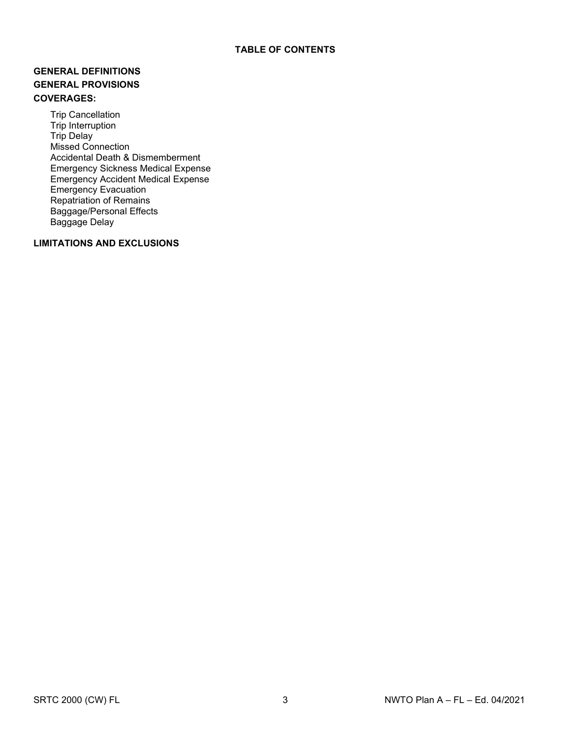# **GENERAL DEFINITIONS GENERAL PROVISIONS COVERAGES:**

Trip Cancellation Trip Interruption Trip Delay Missed Connection Accidental Death & Dismemberment Emergency Sickness Medical Expense Emergency Accident Medical Expense Emergency Evacuation Repatriation of Remains Baggage/Personal Effects Baggage Delay

# **LIMITATIONS AND EXCLUSIONS**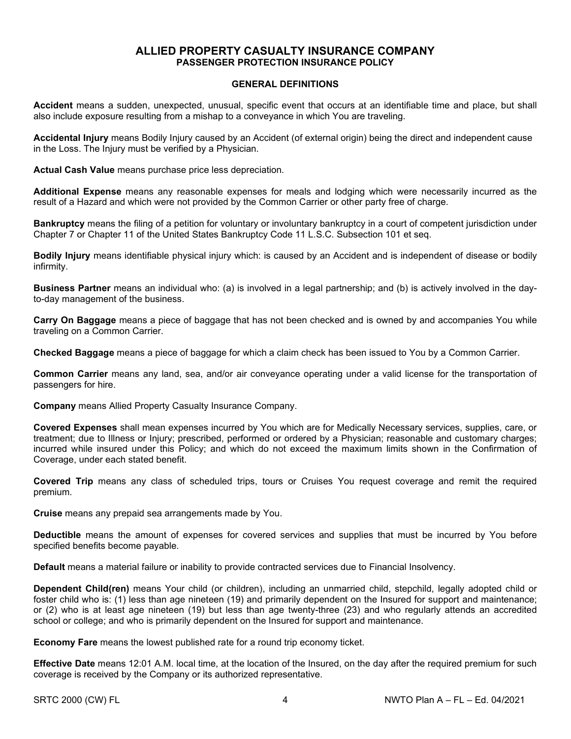# **ALLIED PROPERTY CASUALTY INSURANCE COMPANY PASSENGER PROTECTION INSURANCE POLICY**

#### **GENERAL DEFINITIONS**

**Accident** means a sudden, unexpected, unusual, specific event that occurs at an identifiable time and place, but shall also include exposure resulting from a mishap to a conveyance in which You are traveling.

**Accidental Injury** means Bodily Injury caused by an Accident (of external origin) being the direct and independent cause in the Loss. The Injury must be verified by a Physician.

**Actual Cash Value** means purchase price less depreciation.

**Additional Expense** means any reasonable expenses for meals and lodging which were necessarily incurred as the result of a Hazard and which were not provided by the Common Carrier or other party free of charge.

**Bankruptcy** means the filing of a petition for voluntary or involuntary bankruptcy in a court of competent jurisdiction under Chapter 7 or Chapter 11 of the United States Bankruptcy Code 11 L.S.C. Subsection 101 et seq.

**Bodily Injury** means identifiable physical injury which: is caused by an Accident and is independent of disease or bodily infirmity.

**Business Partner** means an individual who: (a) is involved in a legal partnership; and (b) is actively involved in the dayto-day management of the business.

**Carry On Baggage** means a piece of baggage that has not been checked and is owned by and accompanies You while traveling on a Common Carrier.

**Checked Baggage** means a piece of baggage for which a claim check has been issued to You by a Common Carrier.

**Common Carrier** means any land, sea, and/or air conveyance operating under a valid license for the transportation of passengers for hire.

**Company** means Allied Property Casualty Insurance Company.

**Covered Expenses** shall mean expenses incurred by You which are for Medically Necessary services, supplies, care, or treatment; due to Illness or Injury; prescribed, performed or ordered by a Physician; reasonable and customary charges; incurred while insured under this Policy; and which do not exceed the maximum limits shown in the Confirmation of Coverage, under each stated benefit.

**Covered Trip** means any class of scheduled trips, tours or Cruises You request coverage and remit the required premium.

**Cruise** means any prepaid sea arrangements made by You.

**Deductible** means the amount of expenses for covered services and supplies that must be incurred by You before specified benefits become payable.

**Default** means a material failure or inability to provide contracted services due to Financial Insolvency.

**Dependent Child(ren)** means Your child (or children), including an unmarried child, stepchild, legally adopted child or foster child who is: (1) less than age nineteen (19) and primarily dependent on the Insured for support and maintenance; or (2) who is at least age nineteen (19) but less than age twenty-three (23) and who regularly attends an accredited school or college; and who is primarily dependent on the Insured for support and maintenance.

**Economy Fare** means the lowest published rate for a round trip economy ticket.

**Effective Date** means 12:01 A.M. local time, at the location of the Insured, on the day after the required premium for such coverage is received by the Company or its authorized representative.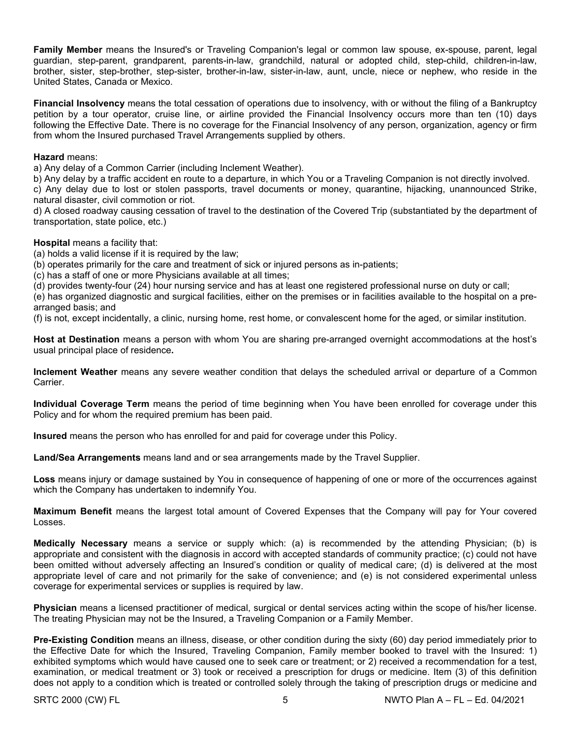**Family Member** means the Insured's or Traveling Companion's legal or common law spouse, ex-spouse, parent, legal guardian, step-parent, grandparent, parents-in-law, grandchild, natural or adopted child, step-child, children-in-law, brother, sister, step-brother, step-sister, brother-in-law, sister-in-law, aunt, uncle, niece or nephew, who reside in the United States, Canada or Mexico.

**Financial Insolvency** means the total cessation of operations due to insolvency, with or without the filing of a Bankruptcy petition by a tour operator, cruise line, or airline provided the Financial Insolvency occurs more than ten (10) days following the Effective Date. There is no coverage for the Financial Insolvency of any person, organization, agency or firm from whom the Insured purchased Travel Arrangements supplied by others.

#### **Hazard** means:

a) Any delay of a Common Carrier (including Inclement Weather).

b) Any delay by a traffic accident en route to a departure, in which You or a Traveling Companion is not directly involved. c) Any delay due to lost or stolen passports, travel documents or money, quarantine, hijacking, unannounced Strike,

natural disaster, civil commotion or riot.

d) A closed roadway causing cessation of travel to the destination of the Covered Trip (substantiated by the department of transportation, state police, etc.)

# **Hospital** means a facility that:

(a) holds a valid license if it is required by the law;

(b) operates primarily for the care and treatment of sick or injured persons as in-patients;

(c) has a staff of one or more Physicians available at all times;

(d) provides twenty-four (24) hour nursing service and has at least one registered professional nurse on duty or call;

(e) has organized diagnostic and surgical facilities, either on the premises or in facilities available to the hospital on a prearranged basis; and

(f) is not, except incidentally, a clinic, nursing home, rest home, or convalescent home for the aged, or similar institution.

**Host at Destination** means a person with whom You are sharing pre-arranged overnight accommodations at the host's usual principal place of residence**.**

**Inclement Weather** means any severe weather condition that delays the scheduled arrival or departure of a Common Carrier.

**Individual Coverage Term** means the period of time beginning when You have been enrolled for coverage under this Policy and for whom the required premium has been paid.

**Insured** means the person who has enrolled for and paid for coverage under this Policy.

**Land/Sea Arrangements** means land and or sea arrangements made by the Travel Supplier.

**Loss** means injury or damage sustained by You in consequence of happening of one or more of the occurrences against which the Company has undertaken to indemnify You.

**Maximum Benefit** means the largest total amount of Covered Expenses that the Company will pay for Your covered Losses.

**Medically Necessary** means a service or supply which: (a) is recommended by the attending Physician; (b) is appropriate and consistent with the diagnosis in accord with accepted standards of community practice; (c) could not have been omitted without adversely affecting an Insured's condition or quality of medical care; (d) is delivered at the most appropriate level of care and not primarily for the sake of convenience; and (e) is not considered experimental unless coverage for experimental services or supplies is required by law.

**Physician** means a licensed practitioner of medical, surgical or dental services acting within the scope of his/her license. The treating Physician may not be the Insured, a Traveling Companion or a Family Member.

**Pre-Existing Condition** means an illness, disease, or other condition during the sixty (60) day period immediately prior to the Effective Date for which the Insured, Traveling Companion, Family member booked to travel with the Insured: 1) exhibited symptoms which would have caused one to seek care or treatment; or 2) received a recommendation for a test, examination, or medical treatment or 3) took or received a prescription for drugs or medicine. Item (3) of this definition does not apply to a condition which is treated or controlled solely through the taking of prescription drugs or medicine and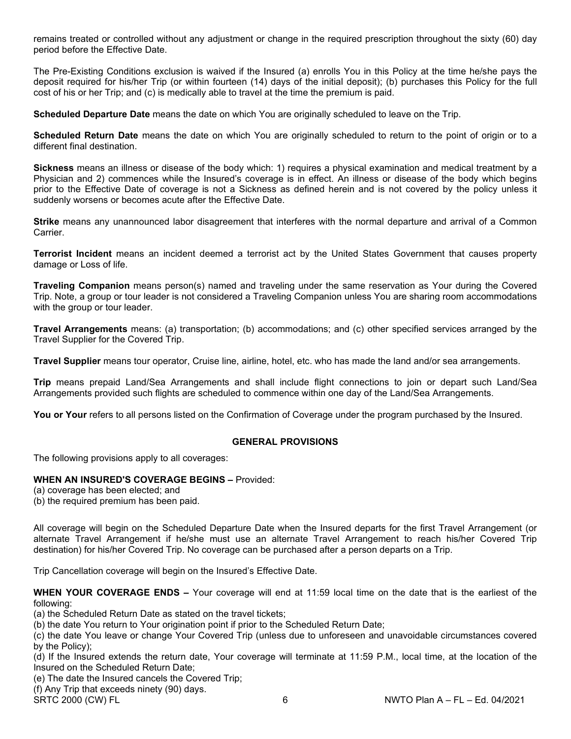remains treated or controlled without any adjustment or change in the required prescription throughout the sixty (60) day period before the Effective Date.

The Pre-Existing Conditions exclusion is waived if the Insured (a) enrolls You in this Policy at the time he/she pays the deposit required for his/her Trip (or within fourteen (14) days of the initial deposit); (b) purchases this Policy for the full cost of his or her Trip; and (c) is medically able to travel at the time the premium is paid.

**Scheduled Departure Date** means the date on which You are originally scheduled to leave on the Trip.

**Scheduled Return Date** means the date on which You are originally scheduled to return to the point of origin or to a different final destination.

**Sickness** means an illness or disease of the body which: 1) requires a physical examination and medical treatment by a Physician and 2) commences while the Insured's coverage is in effect. An illness or disease of the body which begins prior to the Effective Date of coverage is not a Sickness as defined herein and is not covered by the policy unless it suddenly worsens or becomes acute after the Effective Date.

**Strike** means any unannounced labor disagreement that interferes with the normal departure and arrival of a Common Carrier.

**Terrorist Incident** means an incident deemed a terrorist act by the United States Government that causes property damage or Loss of life.

**Traveling Companion** means person(s) named and traveling under the same reservation as Your during the Covered Trip. Note, a group or tour leader is not considered a Traveling Companion unless You are sharing room accommodations with the group or tour leader.

**Travel Arrangements** means: (a) transportation; (b) accommodations; and (c) other specified services arranged by the Travel Supplier for the Covered Trip.

**Travel Supplier** means tour operator, Cruise line, airline, hotel, etc. who has made the land and/or sea arrangements.

**Trip** means prepaid Land/Sea Arrangements and shall include flight connections to join or depart such Land/Sea Arrangements provided such flights are scheduled to commence within one day of the Land/Sea Arrangements.

You or Your refers to all persons listed on the Confirmation of Coverage under the program purchased by the Insured.

#### **GENERAL PROVISIONS**

The following provisions apply to all coverages:

# **WHEN AN INSURED'S COVERAGE BEGINS –** Provided:

(a) coverage has been elected; and

(b) the required premium has been paid.

All coverage will begin on the Scheduled Departure Date when the Insured departs for the first Travel Arrangement (or alternate Travel Arrangement if he/she must use an alternate Travel Arrangement to reach his/her Covered Trip destination) for his/her Covered Trip. No coverage can be purchased after a person departs on a Trip.

Trip Cancellation coverage will begin on the Insured's Effective Date.

**WHEN YOUR COVERAGE ENDS –** Your coverage will end at 11:59 local time on the date that is the earliest of the following:

(a) the Scheduled Return Date as stated on the travel tickets;

(b) the date You return to Your origination point if prior to the Scheduled Return Date;

(c) the date You leave or change Your Covered Trip (unless due to unforeseen and unavoidable circumstances covered by the Policy);

(d) If the Insured extends the return date, Your coverage will terminate at 11:59 P.M., local time, at the location of the Insured on the Scheduled Return Date;

(e) The date the Insured cancels the Covered Trip;

(f) Any Trip that exceeds ninety (90) days.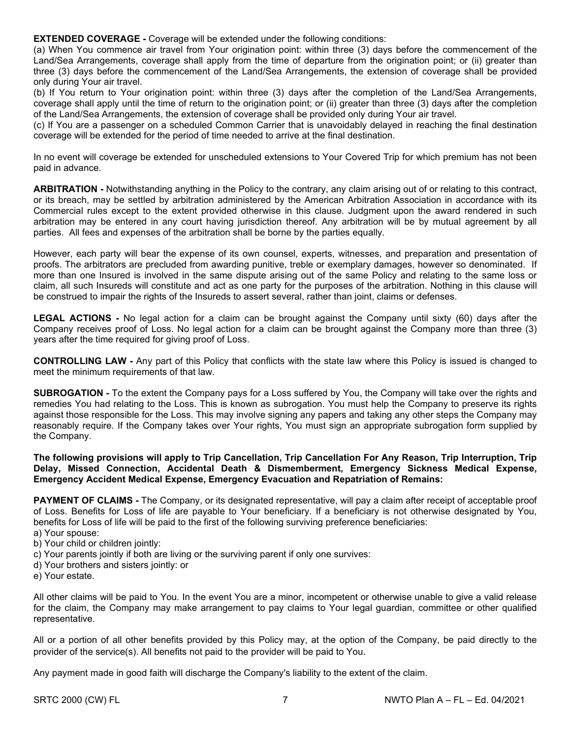**EXTENDED COVERAGE -** Coverage will be extended under the following conditions:

(a) When You commence air travel from Your origination point: within three (3) days before the commencement of the Land/Sea Arrangements, coverage shall apply from the time of departure from the origination point; or (ii) greater than three (3) days before the commencement of the Land/Sea Arrangements, the extension of coverage shall be provided only during Your air travel.

(b) If You return to Your origination point: within three (3) days after the completion of the Land/Sea Arrangements, coverage shall apply until the time of return to the origination point; or (ii) greater than three (3) days after the completion of the Land/Sea Arrangements, the extension of coverage shall be provided only during Your air travel.

(c) If You are a passenger on a scheduled Common Carrier that is unavoidably delayed in reaching the final destination coverage will be extended for the period of time needed to arrive at the final destination.

In no event will coverage be extended for unscheduled extensions to Your Covered Trip for which premium has not been paid in advance.

**ARBITRATION -** Notwithstanding anything in the Policy to the contrary, any claim arising out of or relating to this contract, or its breach, may be settled by arbitration administered by the American Arbitration Association in accordance with its Commercial rules except to the extent provided otherwise in this clause. Judgment upon the award rendered in such arbitration may be entered in any court having jurisdiction thereof. Any arbitration will be by mutual agreement by all parties. All fees and expenses of the arbitration shall be borne by the parties equally.

However, each party will bear the expense of its own counsel, experts, witnesses, and preparation and presentation of proofs. The arbitrators are precluded from awarding punitive, treble or exemplary damages, however so denominated. If more than one Insured is involved in the same dispute arising out of the same Policy and relating to the same loss or claim, all such Insureds will constitute and act as one party for the purposes of the arbitration. Nothing in this clause will be construed to impair the rights of the Insureds to assert several, rather than joint, claims or defenses.

**LEGAL ACTIONS -** No legal action for a claim can be brought against the Company until sixty (60) days after the Company receives proof of Loss. No legal action for a claim can be brought against the Company more than three (3) years after the time required for giving proof of Loss.

**CONTROLLING LAW -** Any part of this Policy that conflicts with the state law where this Policy is issued is changed to meet the minimum requirements of that law.

**SUBROGATION -** To the extent the Company pays for a Loss suffered by You, the Company will take over the rights and remedies You had relating to the Loss. This is known as subrogation. You must help the Company to preserve its rights against those responsible for the Loss. This may involve signing any papers and taking any other steps the Company may reasonably require. If the Company takes over Your rights, You must sign an appropriate subrogation form supplied by the Company.

**The following provisions will apply to Trip Cancellation, Trip Cancellation For Any Reason, Trip Interruption, Trip Delay, Missed Connection, Accidental Death & Dismemberment, Emergency Sickness Medical Expense, Emergency Accident Medical Expense, Emergency Evacuation and Repatriation of Remains:**

**PAYMENT OF CLAIMS** - The Company, or its designated representative, will pay a claim after receipt of acceptable proof of Loss. Benefits for Loss of life are payable to Your beneficiary. If a beneficiary is not otherwise designated by You, benefits for Loss of life will be paid to the first of the following surviving preference beneficiaries:

- a) Your spouse:
- b) Your child or children jointly:
- c) Your parents jointly if both are living or the surviving parent if only one survives:
- d) Your brothers and sisters jointly: or
- e) Your estate.

All other claims will be paid to You. In the event You are a minor, incompetent or otherwise unable to give a valid release for the claim, the Company may make arrangement to pay claims to Your legal guardian, committee or other qualified representative.

All or a portion of all other benefits provided by this Policy may, at the option of the Company, be paid directly to the provider of the service(s). All benefits not paid to the provider will be paid to You.

Any payment made in good faith will discharge the Company's liability to the extent of the claim.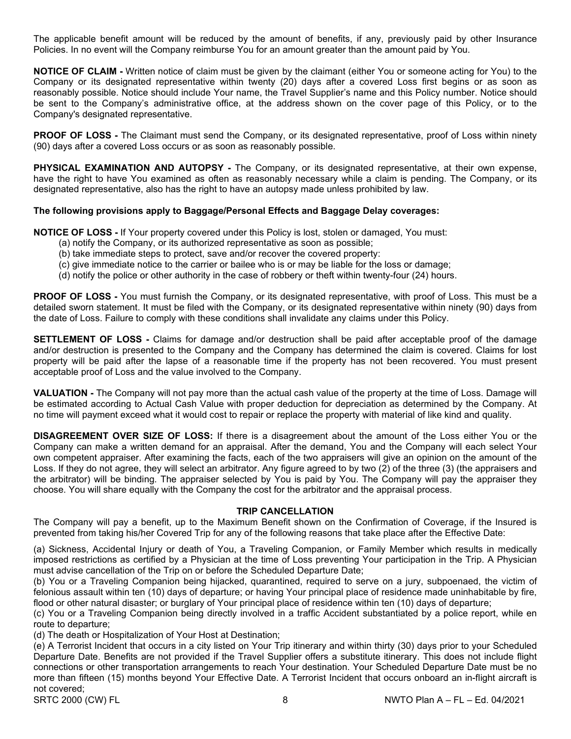The applicable benefit amount will be reduced by the amount of benefits, if any, previously paid by other Insurance Policies. In no event will the Company reimburse You for an amount greater than the amount paid by You.

**NOTICE OF CLAIM -** Written notice of claim must be given by the claimant (either You or someone acting for You) to the Company or its designated representative within twenty (20) days after a covered Loss first begins or as soon as reasonably possible. Notice should include Your name, the Travel Supplier's name and this Policy number. Notice should be sent to the Company's administrative office, at the address shown on the cover page of this Policy, or to the Company's designated representative.

**PROOF OF LOSS -** The Claimant must send the Company, or its designated representative, proof of Loss within ninety (90) days after a covered Loss occurs or as soon as reasonably possible.

**PHYSICAL EXAMINATION AND AUTOPSY -** The Company, or its designated representative, at their own expense, have the right to have You examined as often as reasonably necessary while a claim is pending. The Company, or its designated representative, also has the right to have an autopsy made unless prohibited by law.

#### **The following provisions apply to Baggage/Personal Effects and Baggage Delay coverages:**

**NOTICE OF LOSS -** If Your property covered under this Policy is lost, stolen or damaged, You must:

- (a) notify the Company, or its authorized representative as soon as possible;
- (b) take immediate steps to protect, save and/or recover the covered property:
- (c) give immediate notice to the carrier or bailee who is or may be liable for the loss or damage;
- (d) notify the police or other authority in the case of robbery or theft within twenty-four (24) hours.

**PROOF OF LOSS -** You must furnish the Company, or its designated representative, with proof of Loss. This must be a detailed sworn statement. It must be filed with the Company, or its designated representative within ninety (90) days from the date of Loss. Failure to comply with these conditions shall invalidate any claims under this Policy.

**SETTLEMENT OF LOSS -** Claims for damage and/or destruction shall be paid after acceptable proof of the damage and/or destruction is presented to the Company and the Company has determined the claim is covered. Claims for lost property will be paid after the lapse of a reasonable time if the property has not been recovered. You must present acceptable proof of Loss and the value involved to the Company.

**VALUATION -** The Company will not pay more than the actual cash value of the property at the time of Loss. Damage will be estimated according to Actual Cash Value with proper deduction for depreciation as determined by the Company. At no time will payment exceed what it would cost to repair or replace the property with material of like kind and quality.

**DISAGREEMENT OVER SIZE OF LOSS:** If there is a disagreement about the amount of the Loss either You or the Company can make a written demand for an appraisal. After the demand, You and the Company will each select Your own competent appraiser. After examining the facts, each of the two appraisers will give an opinion on the amount of the Loss. If they do not agree, they will select an arbitrator. Any figure agreed to by two (2) of the three (3) (the appraisers and the arbitrator) will be binding. The appraiser selected by You is paid by You. The Company will pay the appraiser they choose. You will share equally with the Company the cost for the arbitrator and the appraisal process.

#### **TRIP CANCELLATION**

The Company will pay a benefit, up to the Maximum Benefit shown on the Confirmation of Coverage, if the Insured is prevented from taking his/her Covered Trip for any of the following reasons that take place after the Effective Date:

(a) Sickness, Accidental Injury or death of You, a Traveling Companion, or Family Member which results in medically imposed restrictions as certified by a Physician at the time of Loss preventing Your participation in the Trip. A Physician must advise cancellation of the Trip on or before the Scheduled Departure Date;

(b) You or a Traveling Companion being hijacked, quarantined, required to serve on a jury, subpoenaed, the victim of felonious assault within ten (10) days of departure; or having Your principal place of residence made uninhabitable by fire, flood or other natural disaster; or burglary of Your principal place of residence within ten (10) days of departure;

(c) You or a Traveling Companion being directly involved in a traffic Accident substantiated by a police report, while en route to departure;

(d) The death or Hospitalization of Your Host at Destination;

(e) A Terrorist Incident that occurs in a city listed on Your Trip itinerary and within thirty (30) days prior to your Scheduled Departure Date. Benefits are not provided if the Travel Supplier offers a substitute itinerary. This does not include flight connections or other transportation arrangements to reach Your destination. Your Scheduled Departure Date must be no more than fifteen (15) months beyond Your Effective Date. A Terrorist Incident that occurs onboard an in-flight aircraft is not covered;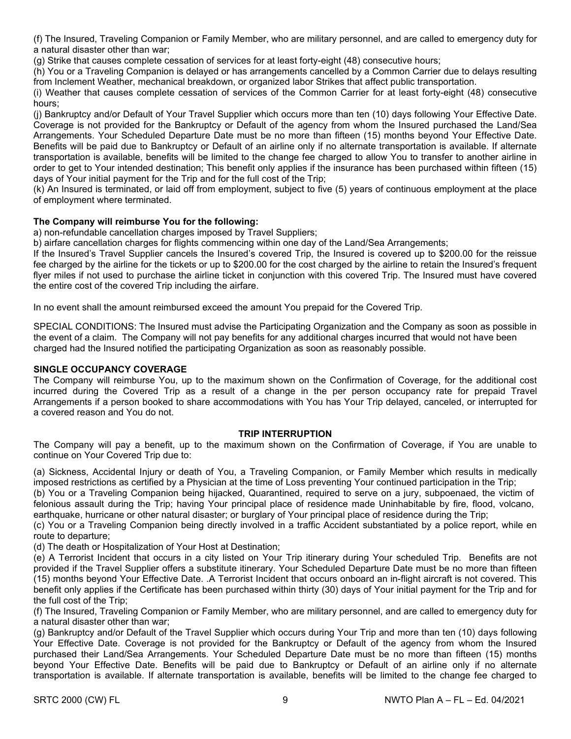(f) The Insured, Traveling Companion or Family Member, who are military personnel, and are called to emergency duty for a natural disaster other than war;

(g) Strike that causes complete cessation of services for at least forty-eight (48) consecutive hours;

(h) You or a Traveling Companion is delayed or has arrangements cancelled by a Common Carrier due to delays resulting from Inclement Weather, mechanical breakdown, or organized labor Strikes that affect public transportation.

(i) Weather that causes complete cessation of services of the Common Carrier for at least forty-eight (48) consecutive hours;

(j) Bankruptcy and/or Default of Your Travel Supplier which occurs more than ten (10) days following Your Effective Date. Coverage is not provided for the Bankruptcy or Default of the agency from whom the Insured purchased the Land/Sea Arrangements. Your Scheduled Departure Date must be no more than fifteen (15) months beyond Your Effective Date. Benefits will be paid due to Bankruptcy or Default of an airline only if no alternate transportation is available. If alternate transportation is available, benefits will be limited to the change fee charged to allow You to transfer to another airline in order to get to Your intended destination; This benefit only applies if the insurance has been purchased within fifteen (15) days of Your initial payment for the Trip and for the full cost of the Trip;

(k) An Insured is terminated, or laid off from employment, subject to five (5) years of continuous employment at the place of employment where terminated.

# **The Company will reimburse You for the following:**

a) non-refundable cancellation charges imposed by Travel Suppliers;

b) airfare cancellation charges for flights commencing within one day of the Land/Sea Arrangements;

If the Insured's Travel Supplier cancels the Insured's covered Trip, the Insured is covered up to \$200.00 for the reissue fee charged by the airline for the tickets or up to \$200.00 for the cost charged by the airline to retain the Insured's frequent flyer miles if not used to purchase the airline ticket in conjunction with this covered Trip. The Insured must have covered the entire cost of the covered Trip including the airfare.

In no event shall the amount reimbursed exceed the amount You prepaid for the Covered Trip.

SPECIAL CONDITIONS: The Insured must advise the Participating Organization and the Company as soon as possible in the event of a claim. The Company will not pay benefits for any additional charges incurred that would not have been charged had the Insured notified the participating Organization as soon as reasonably possible.

#### **SINGLE OCCUPANCY COVERAGE**

The Company will reimburse You, up to the maximum shown on the Confirmation of Coverage, for the additional cost incurred during the Covered Trip as a result of a change in the per person occupancy rate for prepaid Travel Arrangements if a person booked to share accommodations with You has Your Trip delayed, canceled, or interrupted for a covered reason and You do not.

#### **TRIP INTERRUPTION**

The Company will pay a benefit, up to the maximum shown on the Confirmation of Coverage, if You are unable to continue on Your Covered Trip due to:

(a) Sickness, Accidental Injury or death of You, a Traveling Companion, or Family Member which results in medically imposed restrictions as certified by a Physician at the time of Loss preventing Your continued participation in the Trip;

(b) You or a Traveling Companion being hijacked, Quarantined, required to serve on a jury, subpoenaed, the victim of felonious assault during the Trip; having Your principal place of residence made Uninhabitable by fire, flood, volcano, earthquake, hurricane or other natural disaster; or burglary of Your principal place of residence during the Trip;

(c) You or a Traveling Companion being directly involved in a traffic Accident substantiated by a police report, while en route to departure;

(d) The death or Hospitalization of Your Host at Destination;

(e) A Terrorist Incident that occurs in a city listed on Your Trip itinerary during Your scheduled Trip. Benefits are not provided if the Travel Supplier offers a substitute itinerary. Your Scheduled Departure Date must be no more than fifteen (15) months beyond Your Effective Date. .A Terrorist Incident that occurs onboard an in-flight aircraft is not covered. This benefit only applies if the Certificate has been purchased within thirty (30) days of Your initial payment for the Trip and for the full cost of the Trip;

(f) The Insured, Traveling Companion or Family Member, who are military personnel, and are called to emergency duty for a natural disaster other than war;

(g) Bankruptcy and/or Default of the Travel Supplier which occurs during Your Trip and more than ten (10) days following Your Effective Date. Coverage is not provided for the Bankruptcy or Default of the agency from whom the Insured purchased their Land/Sea Arrangements. Your Scheduled Departure Date must be no more than fifteen (15) months beyond Your Effective Date. Benefits will be paid due to Bankruptcy or Default of an airline only if no alternate transportation is available. If alternate transportation is available, benefits will be limited to the change fee charged to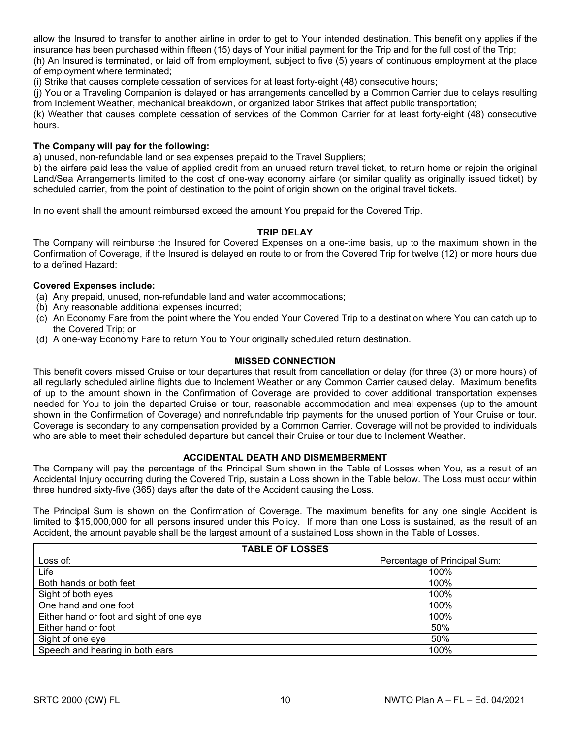allow the Insured to transfer to another airline in order to get to Your intended destination. This benefit only applies if the insurance has been purchased within fifteen (15) days of Your initial payment for the Trip and for the full cost of the Trip; (h) An Insured is terminated, or laid off from employment, subject to five (5) years of continuous employment at the place

of employment where terminated; (i) Strike that causes complete cessation of services for at least forty-eight (48) consecutive hours;

(j) You or a Traveling Companion is delayed or has arrangements cancelled by a Common Carrier due to delays resulting from Inclement Weather, mechanical breakdown, or organized labor Strikes that affect public transportation;

(k) Weather that causes complete cessation of services of the Common Carrier for at least forty-eight (48) consecutive hours.

#### **The Company will pay for the following:**

a) unused, non-refundable land or sea expenses prepaid to the Travel Suppliers;

b) the airfare paid less the value of applied credit from an unused return travel ticket, to return home or rejoin the original Land/Sea Arrangements limited to the cost of one-way economy airfare (or similar quality as originally issued ticket) by scheduled carrier, from the point of destination to the point of origin shown on the original travel tickets.

In no event shall the amount reimbursed exceed the amount You prepaid for the Covered Trip.

#### **TRIP DELAY**

The Company will reimburse the Insured for Covered Expenses on a one-time basis, up to the maximum shown in the Confirmation of Coverage, if the Insured is delayed en route to or from the Covered Trip for twelve (12) or more hours due to a defined Hazard:

#### **Covered Expenses include:**

(a) Any prepaid, unused, non-refundable land and water accommodations;

- (b) Any reasonable additional expenses incurred;
- (c) An Economy Fare from the point where the You ended Your Covered Trip to a destination where You can catch up to the Covered Trip; or
- (d) A one-way Economy Fare to return You to Your originally scheduled return destination.

# **MISSED CONNECTION**

This benefit covers missed Cruise or tour departures that result from cancellation or delay (for three (3) or more hours) of all regularly scheduled airline flights due to Inclement Weather or any Common Carrier caused delay. Maximum benefits of up to the amount shown in the Confirmation of Coverage are provided to cover additional transportation expenses needed for You to join the departed Cruise or tour, reasonable accommodation and meal expenses (up to the amount shown in the Confirmation of Coverage) and nonrefundable trip payments for the unused portion of Your Cruise or tour. Coverage is secondary to any compensation provided by a Common Carrier. Coverage will not be provided to individuals who are able to meet their scheduled departure but cancel their Cruise or tour due to Inclement Weather.

#### **ACCIDENTAL DEATH AND DISMEMBERMENT**

The Company will pay the percentage of the Principal Sum shown in the Table of Losses when You, as a result of an Accidental Injury occurring during the Covered Trip, sustain a Loss shown in the Table below. The Loss must occur within three hundred sixty-five (365) days after the date of the Accident causing the Loss.

The Principal Sum is shown on the Confirmation of Coverage. The maximum benefits for any one single Accident is limited to \$15,000,000 for all persons insured under this Policy. If more than one Loss is sustained, as the result of an Accident, the amount payable shall be the largest amount of a sustained Loss shown in the Table of Losses.

| <b>TABLE OF LOSSES</b>                   |                              |  |
|------------------------------------------|------------------------------|--|
| Loss of:                                 | Percentage of Principal Sum: |  |
| Life                                     | 100%                         |  |
| Both hands or both feet                  | 100%                         |  |
| Sight of both eyes                       | 100%                         |  |
| One hand and one foot                    | 100%                         |  |
| Either hand or foot and sight of one eye | 100%                         |  |
| Either hand or foot                      | 50%                          |  |
| Sight of one eye                         | 50%                          |  |
| Speech and hearing in both ears          | 100%                         |  |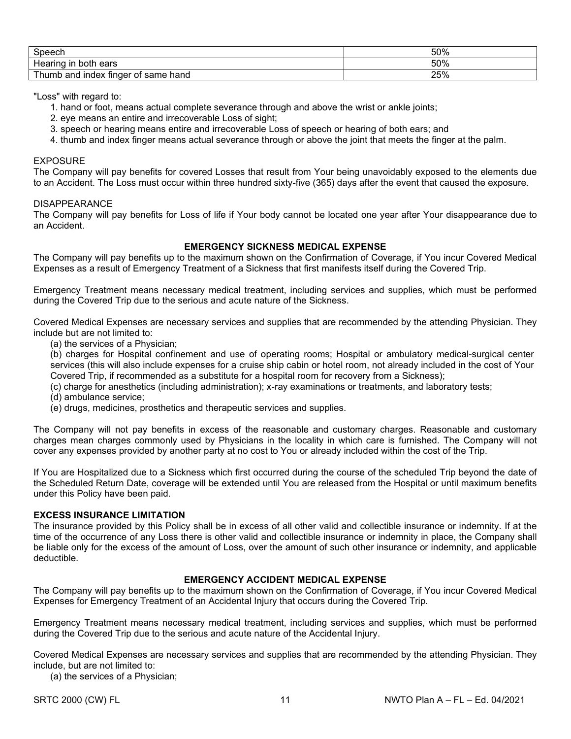| $C_{\text{naom}}$                                | 50% |
|--------------------------------------------------|-----|
| Hearing<br>-in<br>ears<br>both                   | 50% |
| and<br>index<br>tinger<br>∵of same hand<br>⊺humb | 25% |

"Loss" with regard to:

- 1. hand or foot, means actual complete severance through and above the wrist or ankle joints;
- 2. eye means an entire and irrecoverable Loss of sight;
- 3. speech or hearing means entire and irrecoverable Loss of speech or hearing of both ears; and
- 4. thumb and index finger means actual severance through or above the joint that meets the finger at the palm.

#### EXPOSURE

The Company will pay benefits for covered Losses that result from Your being unavoidably exposed to the elements due to an Accident. The Loss must occur within three hundred sixty-five (365) days after the event that caused the exposure.

#### DISAPPEARANCE

The Company will pay benefits for Loss of life if Your body cannot be located one year after Your disappearance due to an Accident.

# **EMERGENCY SICKNESS MEDICAL EXPENSE**

The Company will pay benefits up to the maximum shown on the Confirmation of Coverage, if You incur Covered Medical Expenses as a result of Emergency Treatment of a Sickness that first manifests itself during the Covered Trip.

Emergency Treatment means necessary medical treatment, including services and supplies, which must be performed during the Covered Trip due to the serious and acute nature of the Sickness.

Covered Medical Expenses are necessary services and supplies that are recommended by the attending Physician. They include but are not limited to:

(a) the services of a Physician;

(b) charges for Hospital confinement and use of operating rooms; Hospital or ambulatory medical-surgical center services (this will also include expenses for a cruise ship cabin or hotel room, not already included in the cost of Your Covered Trip, if recommended as a substitute for a hospital room for recovery from a Sickness);

- (c) charge for anesthetics (including administration); x-ray examinations or treatments, and laboratory tests;
- (d) ambulance service;
- (e) drugs, medicines, prosthetics and therapeutic services and supplies.

The Company will not pay benefits in excess of the reasonable and customary charges. Reasonable and customary charges mean charges commonly used by Physicians in the locality in which care is furnished. The Company will not cover any expenses provided by another party at no cost to You or already included within the cost of the Trip.

If You are Hospitalized due to a Sickness which first occurred during the course of the scheduled Trip beyond the date of the Scheduled Return Date, coverage will be extended until You are released from the Hospital or until maximum benefits under this Policy have been paid.

#### **EXCESS INSURANCE LIMITATION**

The insurance provided by this Policy shall be in excess of all other valid and collectible insurance or indemnity. If at the time of the occurrence of any Loss there is other valid and collectible insurance or indemnity in place, the Company shall be liable only for the excess of the amount of Loss, over the amount of such other insurance or indemnity, and applicable deductible.

#### **EMERGENCY ACCIDENT MEDICAL EXPENSE**

The Company will pay benefits up to the maximum shown on the Confirmation of Coverage, if You incur Covered Medical Expenses for Emergency Treatment of an Accidental Injury that occurs during the Covered Trip.

Emergency Treatment means necessary medical treatment, including services and supplies, which must be performed during the Covered Trip due to the serious and acute nature of the Accidental Injury.

Covered Medical Expenses are necessary services and supplies that are recommended by the attending Physician. They include, but are not limited to:

(a) the services of a Physician;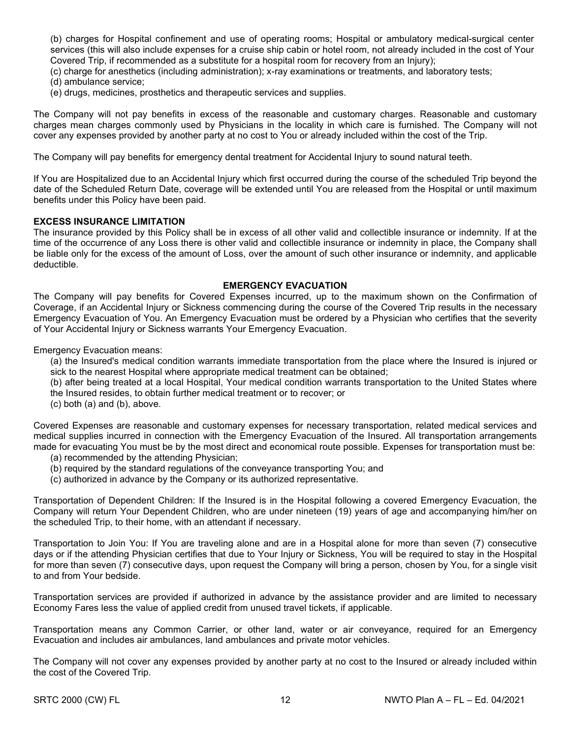(b) charges for Hospital confinement and use of operating rooms; Hospital or ambulatory medical-surgical center services (this will also include expenses for a cruise ship cabin or hotel room, not already included in the cost of Your Covered Trip, if recommended as a substitute for a hospital room for recovery from an Injury);

- (c) charge for anesthetics (including administration); x-ray examinations or treatments, and laboratory tests;
- (d) ambulance service;
- (e) drugs, medicines, prosthetics and therapeutic services and supplies.

The Company will not pay benefits in excess of the reasonable and customary charges. Reasonable and customary charges mean charges commonly used by Physicians in the locality in which care is furnished. The Company will not cover any expenses provided by another party at no cost to You or already included within the cost of the Trip.

The Company will pay benefits for emergency dental treatment for Accidental Injury to sound natural teeth.

If You are Hospitalized due to an Accidental Injury which first occurred during the course of the scheduled Trip beyond the date of the Scheduled Return Date, coverage will be extended until You are released from the Hospital or until maximum benefits under this Policy have been paid.

#### **EXCESS INSURANCE LIMITATION**

The insurance provided by this Policy shall be in excess of all other valid and collectible insurance or indemnity. If at the time of the occurrence of any Loss there is other valid and collectible insurance or indemnity in place, the Company shall be liable only for the excess of the amount of Loss, over the amount of such other insurance or indemnity, and applicable deductible.

#### **EMERGENCY EVACUATION**

The Company will pay benefits for Covered Expenses incurred, up to the maximum shown on the Confirmation of Coverage, if an Accidental Injury or Sickness commencing during the course of the Covered Trip results in the necessary Emergency Evacuation of You. An Emergency Evacuation must be ordered by a Physician who certifies that the severity of Your Accidental Injury or Sickness warrants Your Emergency Evacuation.

Emergency Evacuation means:

(a) the Insured's medical condition warrants immediate transportation from the place where the Insured is injured or sick to the nearest Hospital where appropriate medical treatment can be obtained;

(b) after being treated at a local Hospital, Your medical condition warrants transportation to the United States where the Insured resides, to obtain further medical treatment or to recover; or

(c) both (a) and (b), above.

Covered Expenses are reasonable and customary expenses for necessary transportation, related medical services and medical supplies incurred in connection with the Emergency Evacuation of the Insured. All transportation arrangements made for evacuating You must be by the most direct and economical route possible. Expenses for transportation must be:

- (a) recommended by the attending Physician;
- (b) required by the standard regulations of the conveyance transporting You; and
- (c) authorized in advance by the Company or its authorized representative.

Transportation of Dependent Children: If the Insured is in the Hospital following a covered Emergency Evacuation, the Company will return Your Dependent Children, who are under nineteen (19) years of age and accompanying him/her on the scheduled Trip, to their home, with an attendant if necessary.

Transportation to Join You: If You are traveling alone and are in a Hospital alone for more than seven (7) consecutive days or if the attending Physician certifies that due to Your Injury or Sickness, You will be required to stay in the Hospital for more than seven (7) consecutive days, upon request the Company will bring a person, chosen by You, for a single visit to and from Your bedside.

Transportation services are provided if authorized in advance by the assistance provider and are limited to necessary Economy Fares less the value of applied credit from unused travel tickets, if applicable.

Transportation means any Common Carrier, or other land, water or air conveyance, required for an Emergency Evacuation and includes air ambulances, land ambulances and private motor vehicles.

The Company will not cover any expenses provided by another party at no cost to the Insured or already included within the cost of the Covered Trip.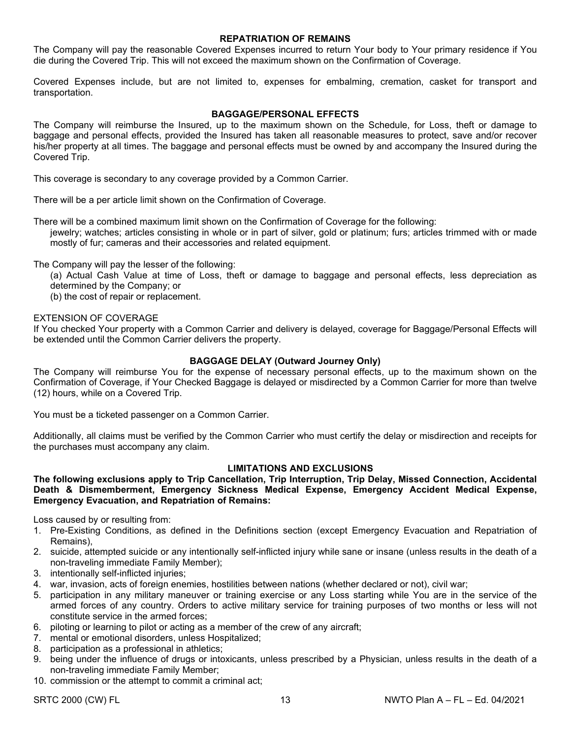#### **REPATRIATION OF REMAINS**

The Company will pay the reasonable Covered Expenses incurred to return Your body to Your primary residence if You die during the Covered Trip. This will not exceed the maximum shown on the Confirmation of Coverage.

Covered Expenses include, but are not limited to, expenses for embalming, cremation, casket for transport and transportation.

#### **BAGGAGE/PERSONAL EFFECTS**

The Company will reimburse the Insured, up to the maximum shown on the Schedule, for Loss, theft or damage to baggage and personal effects, provided the Insured has taken all reasonable measures to protect, save and/or recover his/her property at all times. The baggage and personal effects must be owned by and accompany the Insured during the Covered Trip.

This coverage is secondary to any coverage provided by a Common Carrier.

There will be a per article limit shown on the Confirmation of Coverage.

There will be a combined maximum limit shown on the Confirmation of Coverage for the following:

jewelry; watches; articles consisting in whole or in part of silver, gold or platinum; furs; articles trimmed with or made mostly of fur; cameras and their accessories and related equipment.

The Company will pay the lesser of the following:

(a) Actual Cash Value at time of Loss, theft or damage to baggage and personal effects, less depreciation as determined by the Company; or

(b) the cost of repair or replacement.

#### EXTENSION OF COVERAGE

If You checked Your property with a Common Carrier and delivery is delayed, coverage for Baggage/Personal Effects will be extended until the Common Carrier delivers the property.

#### **BAGGAGE DELAY (Outward Journey Only)**

The Company will reimburse You for the expense of necessary personal effects, up to the maximum shown on the Confirmation of Coverage, if Your Checked Baggage is delayed or misdirected by a Common Carrier for more than twelve (12) hours, while on a Covered Trip.

You must be a ticketed passenger on a Common Carrier.

Additionally, all claims must be verified by the Common Carrier who must certify the delay or misdirection and receipts for the purchases must accompany any claim.

#### **LIMITATIONS AND EXCLUSIONS**

**The following exclusions apply to Trip Cancellation, Trip Interruption, Trip Delay, Missed Connection, Accidental Death & Dismemberment, Emergency Sickness Medical Expense, Emergency Accident Medical Expense, Emergency Evacuation, and Repatriation of Remains:**

Loss caused by or resulting from:

- 1. Pre-Existing Conditions, as defined in the Definitions section (except Emergency Evacuation and Repatriation of Remains),
- 2. suicide, attempted suicide or any intentionally self-inflicted injury while sane or insane (unless results in the death of a non-traveling immediate Family Member);
- 3. intentionally self-inflicted injuries;
- 4. war, invasion, acts of foreign enemies, hostilities between nations (whether declared or not), civil war;
- 5. participation in any military maneuver or training exercise or any Loss starting while You are in the service of the armed forces of any country. Orders to active military service for training purposes of two months or less will not constitute service in the armed forces;
- 6. piloting or learning to pilot or acting as a member of the crew of any aircraft;
- 7. mental or emotional disorders, unless Hospitalized;
- 8. participation as a professional in athletics;
- 9. being under the influence of drugs or intoxicants, unless prescribed by a Physician, unless results in the death of a non-traveling immediate Family Member;
- 10. commission or the attempt to commit a criminal act;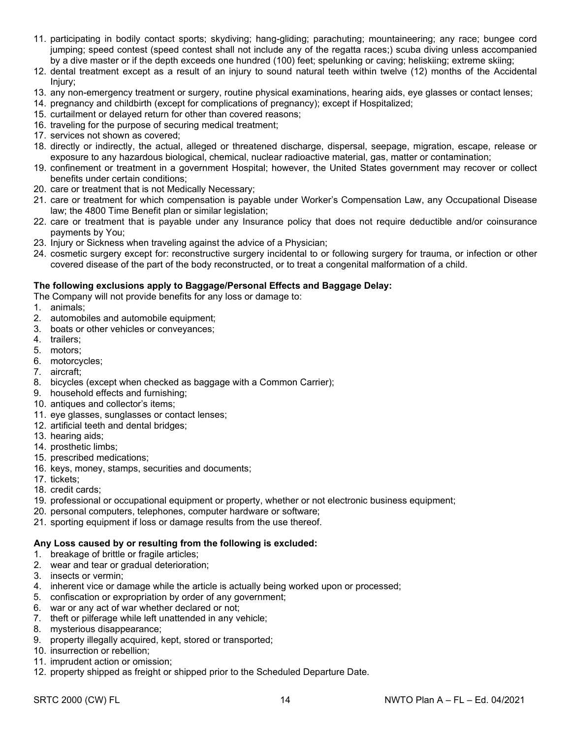- 11. participating in bodily contact sports; skydiving; hang-gliding; parachuting; mountaineering; any race; bungee cord jumping; speed contest (speed contest shall not include any of the regatta races;) scuba diving unless accompanied by a dive master or if the depth exceeds one hundred (100) feet; spelunking or caving; heliskiing; extreme skiing;
- 12. dental treatment except as a result of an injury to sound natural teeth within twelve (12) months of the Accidental Injury;
- 13. any non-emergency treatment or surgery, routine physical examinations, hearing aids, eye glasses or contact lenses;
- 14. pregnancy and childbirth (except for complications of pregnancy); except if Hospitalized;
- 15. curtailment or delayed return for other than covered reasons;
- 16. traveling for the purpose of securing medical treatment;
- 17. services not shown as covered;
- 18. directly or indirectly, the actual, alleged or threatened discharge, dispersal, seepage, migration, escape, release or exposure to any hazardous biological, chemical, nuclear radioactive material, gas, matter or contamination;
- 19. confinement or treatment in a government Hospital; however, the United States government may recover or collect benefits under certain conditions;
- 20. care or treatment that is not Medically Necessary;
- 21. care or treatment for which compensation is payable under Worker's Compensation Law, any Occupational Disease law; the 4800 Time Benefit plan or similar legislation;
- 22. care or treatment that is payable under any Insurance policy that does not require deductible and/or coinsurance payments by You;
- 23. Injury or Sickness when traveling against the advice of a Physician;
- 24. cosmetic surgery except for: reconstructive surgery incidental to or following surgery for trauma, or infection or other covered disease of the part of the body reconstructed, or to treat a congenital malformation of a child.

#### **The following exclusions apply to Baggage/Personal Effects and Baggage Delay:**

The Company will not provide benefits for any loss or damage to:

- 1. animals;
- 2. automobiles and automobile equipment;
- 3. boats or other vehicles or conveyances;
- 4. trailers;
- 5. motors;
- 6. motorcycles;
- 7. aircraft;
- 8. bicycles (except when checked as baggage with a Common Carrier);
- 9. household effects and furnishing;
- 10. antiques and collector's items;
- 11. eye glasses, sunglasses or contact lenses;
- 12. artificial teeth and dental bridges;
- 13. hearing aids;
- 14. prosthetic limbs;
- 15. prescribed medications;
- 16. keys, money, stamps, securities and documents;
- 17. tickets;
- 18. credit cards;
- 19. professional or occupational equipment or property, whether or not electronic business equipment;
- 20. personal computers, telephones, computer hardware or software;
- 21. sporting equipment if loss or damage results from the use thereof.

#### **Any Loss caused by or resulting from the following is excluded:**

- 1. breakage of brittle or fragile articles;
- 2. wear and tear or gradual deterioration;
- 3. insects or vermin;
- 4. inherent vice or damage while the article is actually being worked upon or processed;
- 5. confiscation or expropriation by order of any government;
- 6. war or any act of war whether declared or not;
- 7. theft or pilferage while left unattended in any vehicle;
- 8. mysterious disappearance;
- 9. property illegally acquired, kept, stored or transported;
- 10. insurrection or rebellion;
- 11. imprudent action or omission;
- 12. property shipped as freight or shipped prior to the Scheduled Departure Date.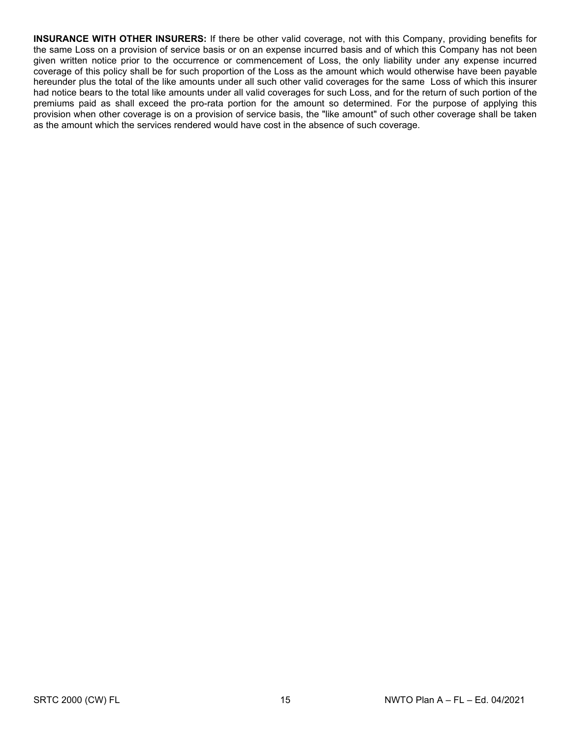**INSURANCE WITH OTHER INSURERS:** If there be other valid coverage, not with this Company, providing benefits for the same Loss on a provision of service basis or on an expense incurred basis and of which this Company has not been given written notice prior to the occurrence or commencement of Loss, the only liability under any expense incurred coverage of this policy shall be for such proportion of the Loss as the amount which would otherwise have been payable hereunder plus the total of the like amounts under all such other valid coverages for the same Loss of which this insurer had notice bears to the total like amounts under all valid coverages for such Loss, and for the return of such portion of the premiums paid as shall exceed the pro-rata portion for the amount so determined. For the purpose of applying this provision when other coverage is on a provision of service basis, the "like amount" of such other coverage shall be taken as the amount which the services rendered would have cost in the absence of such coverage.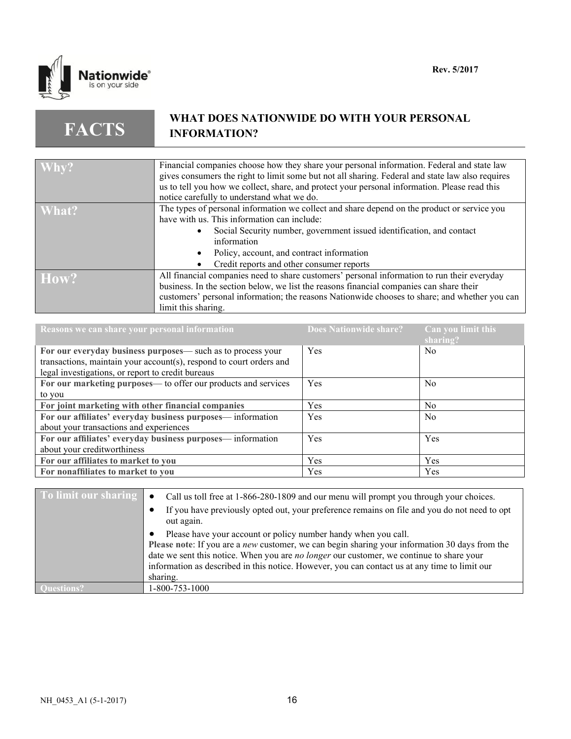

**FACTS**

# **WHAT DOES NATIONWIDE DO WITH YOUR PERSONAL INFORMATION?**

| Why?  | Financial companies choose how they share your personal information. Federal and state law<br>gives consumers the right to limit some but not all sharing. Federal and state law also requires |
|-------|------------------------------------------------------------------------------------------------------------------------------------------------------------------------------------------------|
|       |                                                                                                                                                                                                |
|       | us to tell you how we collect, share, and protect your personal information. Please read this                                                                                                  |
|       | notice carefully to understand what we do.                                                                                                                                                     |
| What? | The types of personal information we collect and share depend on the product or service you                                                                                                    |
|       | have with us. This information can include:                                                                                                                                                    |
|       | Social Security number, government issued identification, and contact                                                                                                                          |
|       | information                                                                                                                                                                                    |
|       | Policy, account, and contract information                                                                                                                                                      |
|       | Credit reports and other consumer reports                                                                                                                                                      |
| How?  | All financial companies need to share customers' personal information to run their everyday                                                                                                    |
|       | business. In the section below, we list the reasons financial companies can share their                                                                                                        |
|       | customers' personal information; the reasons Nationwide chooses to share; and whether you can                                                                                                  |
|       | limit this sharing.                                                                                                                                                                            |

| Reasons we can share your personal information                      | <b>Does Nationwide share?</b> | $\sqrt{\frac{1}{1}}$ Can you limit this<br>sharing? |
|---------------------------------------------------------------------|-------------------------------|-----------------------------------------------------|
| For our everyday business purposes— such as to process your         | Yes                           | No.                                                 |
| transactions, maintain your account(s), respond to court orders and |                               |                                                     |
| legal investigations, or report to credit bureaus                   |                               |                                                     |
| For our marketing purposes— to offer our products and services      | Yes                           | No.                                                 |
| to you                                                              |                               |                                                     |
| For joint marketing with other financial companies                  | <b>Yes</b>                    | No.                                                 |
| For our affiliates' everyday business purposes— information         | Yes                           | No.                                                 |
| about your transactions and experiences                             |                               |                                                     |
| For our affiliates' everyday business purposes-information          | Yes                           | Yes                                                 |
| about your creditworthiness                                         |                               |                                                     |
| For our affiliates to market to you                                 | <b>Yes</b>                    | Yes                                                 |
| For nonaffiliates to market to you                                  | <b>Yes</b>                    | Yes                                                 |

| To limit our sharing | Call us toll free at 1-866-280-1809 and our menu will prompt you through your choices.<br>$\bullet$                                                                                                                                                                                                                                                                                     |
|----------------------|-----------------------------------------------------------------------------------------------------------------------------------------------------------------------------------------------------------------------------------------------------------------------------------------------------------------------------------------------------------------------------------------|
|                      | If you have previously opted out, your preference remains on file and you do not need to opt<br>out again.                                                                                                                                                                                                                                                                              |
|                      | Please have your account or policy number handy when you call.<br>Please note: If you are a <i>new</i> customer, we can begin sharing your information 30 days from the<br>date we sent this notice. When you are <i>no longer</i> our customer, we continue to share your<br>information as described in this notice. However, you can contact us at any time to limit our<br>sharing. |
|                      | 1-800-753-1000                                                                                                                                                                                                                                                                                                                                                                          |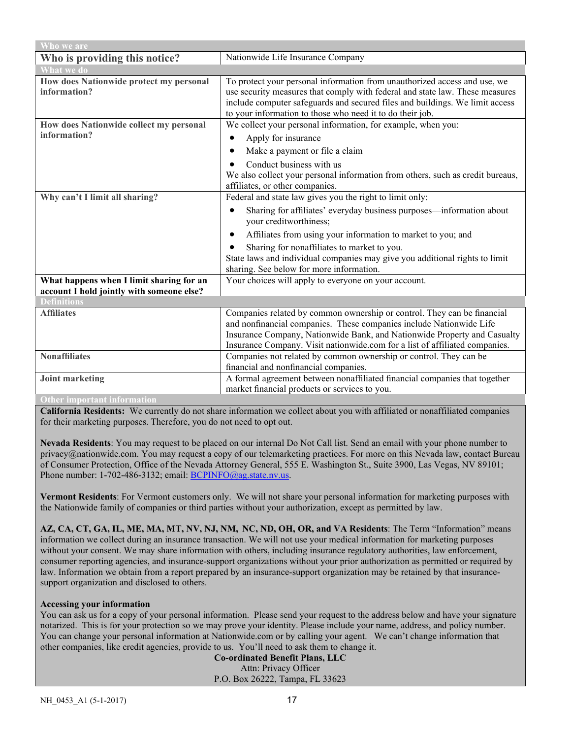| Who we are                                               |                                                                                                                                                                                                                                                                                                        |  |
|----------------------------------------------------------|--------------------------------------------------------------------------------------------------------------------------------------------------------------------------------------------------------------------------------------------------------------------------------------------------------|--|
| Who is providing this notice?                            | Nationwide Life Insurance Company                                                                                                                                                                                                                                                                      |  |
| <b>What we do</b>                                        |                                                                                                                                                                                                                                                                                                        |  |
| How does Nationwide protect my personal<br>information?  | To protect your personal information from unauthorized access and use, we<br>use security measures that comply with federal and state law. These measures<br>include computer safeguards and secured files and buildings. We limit access<br>to your information to those who need it to do their job. |  |
| How does Nationwide collect my personal                  | We collect your personal information, for example, when you:                                                                                                                                                                                                                                           |  |
| information?                                             | Apply for insurance                                                                                                                                                                                                                                                                                    |  |
|                                                          | Make a payment or file a claim                                                                                                                                                                                                                                                                         |  |
|                                                          | Conduct business with us<br>We also collect your personal information from others, such as credit bureaus,<br>affiliates, or other companies.                                                                                                                                                          |  |
| Why can't I limit all sharing?                           | Federal and state law gives you the right to limit only:                                                                                                                                                                                                                                               |  |
|                                                          | Sharing for affiliates' everyday business purposes-information about<br>your creditworthiness;                                                                                                                                                                                                         |  |
|                                                          | Affiliates from using your information to market to you; and                                                                                                                                                                                                                                           |  |
|                                                          | Sharing for nonaffiliates to market to you.                                                                                                                                                                                                                                                            |  |
|                                                          | State laws and individual companies may give you additional rights to limit                                                                                                                                                                                                                            |  |
|                                                          | sharing. See below for more information.                                                                                                                                                                                                                                                               |  |
| What happens when I limit sharing for an                 | Your choices will apply to everyone on your account.                                                                                                                                                                                                                                                   |  |
| account I hold jointly with someone else?<br>Definitions |                                                                                                                                                                                                                                                                                                        |  |
| <b>Affiliates</b>                                        | Companies related by common ownership or control. They can be financial                                                                                                                                                                                                                                |  |
|                                                          | and nonfinancial companies. These companies include Nationwide Life                                                                                                                                                                                                                                    |  |
|                                                          | Insurance Company, Nationwide Bank, and Nationwide Property and Casualty                                                                                                                                                                                                                               |  |
|                                                          | Insurance Company. Visit nationwide.com for a list of affiliated companies.                                                                                                                                                                                                                            |  |
| <b>Nonaffiliates</b>                                     | Companies not related by common ownership or control. They can be                                                                                                                                                                                                                                      |  |
|                                                          | financial and nonfinancial companies.                                                                                                                                                                                                                                                                  |  |
| Joint marketing                                          | A formal agreement between nonaffiliated financial companies that together                                                                                                                                                                                                                             |  |
|                                                          | market financial products or services to you.                                                                                                                                                                                                                                                          |  |
| <b>Other important information</b>                       |                                                                                                                                                                                                                                                                                                        |  |

**California Residents:** We currently do not share information we collect about you with affiliated or nonaffiliated companies for their marketing purposes. Therefore, you do not need to opt out.

**Nevada Residents**: You may request to be placed on our internal Do Not Call list. Send an email with your phone number to privacy@nationwide.com. You may request a copy of our telemarketing practices. For more on this Nevada law, contact Bureau of Consumer Protection, Office of the Nevada Attorney General, 555 E. Washington St., Suite 3900, Las Vegas, NV 89101; Phone number: 1-702-486-3132; email: [BCPINFO@ag.state.nv.us.](mailto:BCPINFO@ag.state.nv.us)

**Vermont Residents**: For Vermont customers only. We will not share your personal information for marketing purposes with the Nationwide family of companies or third parties without your authorization, except as permitted by law.

**AZ, CA, CT, GA, IL, ME, MA, MT, NV, NJ, NM, NC, ND, OH, OR, and VA Residents**: The Term "Information" means information we collect during an insurance transaction. We will not use your medical information for marketing purposes without your consent. We may share information with others, including insurance regulatory authorities, law enforcement, consumer reporting agencies, and insurance-support organizations without your prior authorization as permitted or required by law. Information we obtain from a report prepared by an insurance-support organization may be retained by that insurancesupport organization and disclosed to others.

#### **Accessing your information**

You can ask us for a copy of your personal information. Please send your request to the address below and have your signature notarized. This is for your protection so we may prove your identity. Please include your name, address, and policy number. You can change your personal information at Nationwide.com or by calling your agent. We can't change information that other companies, like credit agencies, provide to us. You'll need to ask them to change it.

**Co-ordinated Benefit Plans, LLC** Attn: Privacy Officer P.O. Box 26222, Tampa, FL 33623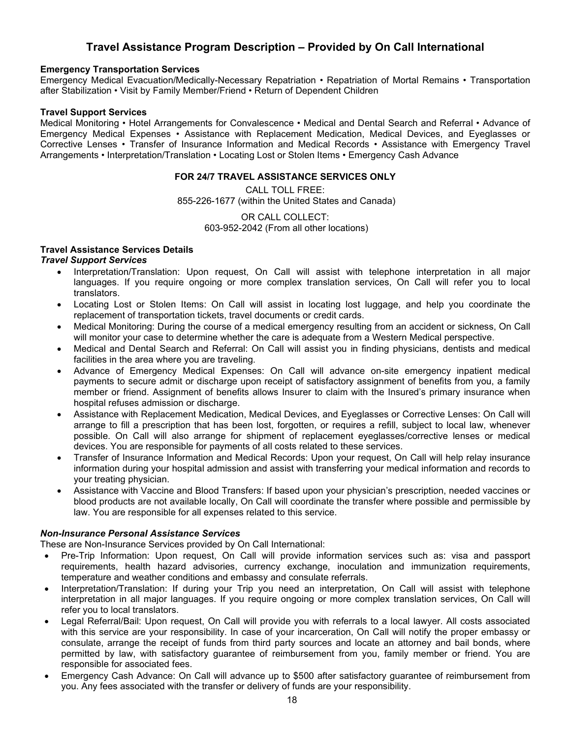# **Travel Assistance Program Description – Provided by On Call International**

#### **Emergency Transportation Services**

Emergency Medical Evacuation/Medically-Necessary Repatriation • Repatriation of Mortal Remains • Transportation after Stabilization • Visit by Family Member/Friend • Return of Dependent Children

#### **Travel Support Services**

Medical Monitoring • Hotel Arrangements for Convalescence • Medical and Dental Search and Referral • Advance of Emergency Medical Expenses • Assistance with Replacement Medication, Medical Devices, and Eyeglasses or Corrective Lenses • Transfer of Insurance Information and Medical Records • Assistance with Emergency Travel Arrangements • Interpretation/Translation • Locating Lost or Stolen Items • Emergency Cash Advance

#### **FOR 24/7 TRAVEL ASSISTANCE SERVICES ONLY**

CALL TOLL FREE: 855-226-1677 (within the United States and Canada)

> OR CALL COLLECT: 603-952-2042 (From all other locations)

# **Travel Assistance Services Details**

# *Travel Support Services*

- Interpretation/Translation: Upon request, On Call will assist with telephone interpretation in all major languages. If you require ongoing or more complex translation services, On Call will refer you to local translators.
- Locating Lost or Stolen Items: On Call will assist in locating lost luggage, and help you coordinate the replacement of transportation tickets, travel documents or credit cards.
- Medical Monitoring: During the course of a medical emergency resulting from an accident or sickness, On Call will monitor your case to determine whether the care is adequate from a Western Medical perspective.
- Medical and Dental Search and Referral: On Call will assist you in finding physicians, dentists and medical facilities in the area where you are traveling.
- Advance of Emergency Medical Expenses: On Call will advance on-site emergency inpatient medical payments to secure admit or discharge upon receipt of satisfactory assignment of benefits from you, a family member or friend. Assignment of benefits allows Insurer to claim with the Insured's primary insurance when hospital refuses admission or discharge.
- Assistance with Replacement Medication, Medical Devices, and Eyeglasses or Corrective Lenses: On Call will arrange to fill a prescription that has been lost, forgotten, or requires a refill, subject to local law, whenever possible. On Call will also arrange for shipment of replacement eyeglasses/corrective lenses or medical devices. You are responsible for payments of all costs related to these services.
- Transfer of Insurance Information and Medical Records: Upon your request, On Call will help relay insurance information during your hospital admission and assist with transferring your medical information and records to your treating physician.
- Assistance with Vaccine and Blood Transfers: If based upon your physician's prescription, needed vaccines or blood products are not available locally, On Call will coordinate the transfer where possible and permissible by law. You are responsible for all expenses related to this service.

# *Non-Insurance Personal Assistance Services*

These are Non-Insurance Services provided by On Call International:

- Pre-Trip Information: Upon request, On Call will provide information services such as: visa and passport requirements, health hazard advisories, currency exchange, inoculation and immunization requirements, temperature and weather conditions and embassy and consulate referrals.
- Interpretation/Translation: If during your Trip you need an interpretation, On Call will assist with telephone interpretation in all major languages. If you require ongoing or more complex translation services, On Call will refer you to local translators.
- Legal Referral/Bail: Upon request, On Call will provide you with referrals to a local lawyer. All costs associated with this service are your responsibility. In case of your incarceration, On Call will notify the proper embassy or consulate, arrange the receipt of funds from third party sources and locate an attorney and bail bonds, where permitted by law, with satisfactory guarantee of reimbursement from you, family member or friend. You are responsible for associated fees.
- Emergency Cash Advance: On Call will advance up to \$500 after satisfactory guarantee of reimbursement from you. Any fees associated with the transfer or delivery of funds are your responsibility.